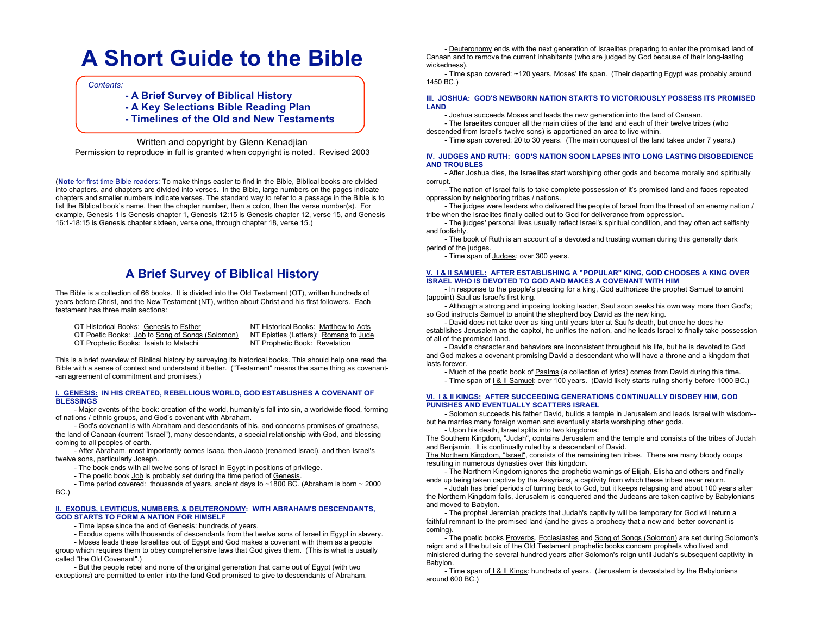# **A Short Guide to the Bible**

*Contents:*

- **- A Brief Survey of Biblical History**
- **- A Key Selections Bible Reading Plan**
- **- Timelines of the Old and New Testaments**

Written and copyright by Glenn Kenadjian Permission to reproduce in full is granted when copyright is noted. Revised 2003

(**Note** for first time Bible readers: To make things easier to find in the Bible, Biblical books are divided into chapters, and chapters are divided into verses. In the Bible, large numbers on the pages indicate chapters and smaller numbers indicate verses. The standard way to refer to a passage in the Bible is to list the Biblical book's name, then the chapter number, then a colon, then the verse number(s). For example, Genesis 1 is Genesis chapter 1, Genesis 12:15 is Genesis chapter 12, verse 15, and Genesis 16:1-18:15 is Genesis chapter sixteen, verse one, through chapter 18, verse 15.)

# **A Brief Survey of Biblical History**

The Bible is a collection of 66 books. It is divided into the Old Testament (OT), written hundreds of years before Christ, and the New Testament (NT), written about Christ and his first followers. Each testament has three main sections:

OT Historical Books: Genesis to Esther NT Historical Books: Matthew to Acts OT Poetic Books: Job to Song of Songs (Solomon) NT Epistles (Letters): Romans to Jude<br>OT Prophetic Books: Isaiah to Malachi NT Prophetic Book: Revelation OT Prophetic Books: Isaiah to Malachi

This is a brief overview of Biblical history by surveying its historical books. This should help one read the Bible with a sense of context and understand it better. ("Testament" means the same thing as covenant- -an agreement of commitment and promises.)

### **I. GENESIS: IN HIS CREATED, REBELLIOUS WORLD, GOD ESTABLISHES A COVENANT OF BLESSINGS**

- Major events of the book: creation of the world, humanity's fall into sin, a worldwide flood, forming of nations / ethnic groups, and God's covenant with Abraham.

- God's covenant is with Abraham and descendants of his, and concerns promises of greatness, the land of Canaan (current "Israel"), many descendants, a special relationship with God, and blessing coming to all peoples of earth.

- After Abraham, most importantly comes Isaac, then Jacob (renamed Israel), and then Israel's twelve sons, particularly Joseph.

- The book ends with all twelve sons of Israel in Egypt in positions of privilege.

- The poetic book Job is probably set during the time period of Genesis.

- Time period covered: thousands of years, ancient days to ~1800 BC. (Abraham is born ~ 2000 BC.)

### **II. EXODUS, LEVITICUS, NUMBERS, & DEUTERONOMY: WITH ABRAHAM'S DESCENDANTS, GOD STARTS TO FORM A NATION FOR HIMSELF**

- Time lapse since the end of Genesis: hundreds of years.
- Exodus opens with thousands of descendants from the twelve sons of Israel in Egypt in slavery.

- Moses leads these Israelites out of Egypt and God makes a covenant with them as a people group which requires them to obey comprehensive laws that God gives them. (This is what is usually called "the Old Covenant".)

- But the people rebel and none of the original generation that came out of Egypt (with two exceptions) are permitted to enter into the land God promised to give to descendants of Abraham.

- Deuteronomy ends with the next generation of Israelites preparing to enter the promised land of Canaan and to remove the current inhabitants (who are judged by God because of their long-lasting wickedness).

- Time span covered: ~120 years, Moses' life span. (Their departing Egypt was probably around 1450 BC.)

### **III. JOSHUA: GOD'S NEWBORN NATION STARTS TO VICTORIOUSLY POSSESS ITS PROMISED LAND**

- Joshua succeeds Moses and leads the new generation into the land of Canaan.

- The Israelites conquer all the main cities of the land and each of their twelve tribes (who descended from Israel's twelve sons) is apportioned an area to live within.

- Time span covered: 20 to 30 years. (The main conquest of the land takes under 7 years.)

### **IV. JUDGES AND RUTH: GOD'S NATION SOON LAPSES INTO LONG LASTING DISOBEDIENCE AND TROUBLES**

- After Joshua dies, the Israelites start worshiping other gods and become morally and spiritually corrupt.

- The nation of Israel fails to take complete possession of it's promised land and faces repeated oppression by neighboring tribes / nations.

- The judges were leaders who delivered the people of Israel from the threat of an enemy nation / tribe when the Israelites finally called out to God for deliverance from oppression.

- The judges' personal lives usually reflect Israel's spiritual condition, and they often act selfishly and foolishly.

- The book of Ruth is an account of a devoted and trusting woman during this generally dark period of the judges.

- Time span of Judges: over 300 years.

### **V. I & II SAMUEL: AFTER ESTABLISHING A "POPULAR" KING, GOD CHOOSES A KING OVER ISRAEL WHO IS DEVOTED TO GOD AND MAKES A COVENANT WITH HIM**

- In response to the people's pleading for a king, God authorizes the prophet Samuel to anoint (appoint) Saul as Israel's first king.

- Although a strong and imposing looking leader, Saul soon seeks his own way more than God's; so God instructs Samuel to anoint the shepherd boy David as the new king.

- David does not take over as king until years later at Saul's death, but once he does he establishes Jerusalem as the capitol, he unifies the nation, and he leads Israel to finally take possession of all of the promised land.

- David's character and behaviors are inconsistent throughout his life, but he is devoted to God and God makes a covenant promising David a descendant who will have a throne and a kingdom that lasts forever.

- Much of the poetic book of Psalms (a collection of lyrics) comes from David during this time.

- Time span of <u>I & II Samuel</u>: over 100 years. (David likely starts ruling shortly before 1000 BC.)

### **VI. I & II KINGS: AFTER SUCCEEDING GENERATIONS CONTINUALLY DISOBEY HIM, GOD PUNISHES AND EVENTUALLY SCATTERS ISRAEL**

- Solomon succeeds his father David, builds a temple in Jerusalem and leads Israel with wisdom- but he marries many foreign women and eventually starts worshiping other gods.

- Upon his death, Israel splits into two kingdoms:

The Southern Kingdom, "Judah", contains Jerusalem and the temple and consists of the tribes of Judah and Benjamin. It is continually ruled by a descendant of David.

The Northern Kingdom, "Israel", consists of the remaining ten tribes. There are many bloody coups resulting in numerous dynasties over this kingdom.

- The Northern Kingdom ignores the prophetic warnings of Elijah, Elisha and others and finally ends up being taken captive by the Assyrians, a captivity from which these tribes never return.

- Judah has brief periods of turning back to God, but it keeps relapsing and about 100 years after the Northern Kingdom falls, Jerusalem is conquered and the Judeans are taken captive by Babylonians and moved to Babylon.

- The prophet Jeremiah predicts that Judah's captivity will be temporary for God will return a faithful remnant to the promised land (and he gives a prophecy that a new and better covenant is coming).

- The poetic books Proverbs, Ecclesiastes and Song of Songs (Solomon) are set during Solomon's reign; and all the but six of the Old Testament prophetic books concern prophets who lived and ministered during the several hundred years after Solomon's reign until Judah's subsequent captivity in Babylon.

- Time span of I & II Kings: hundreds of years. (Jerusalem is devastated by the Babylonians around 600 BC.)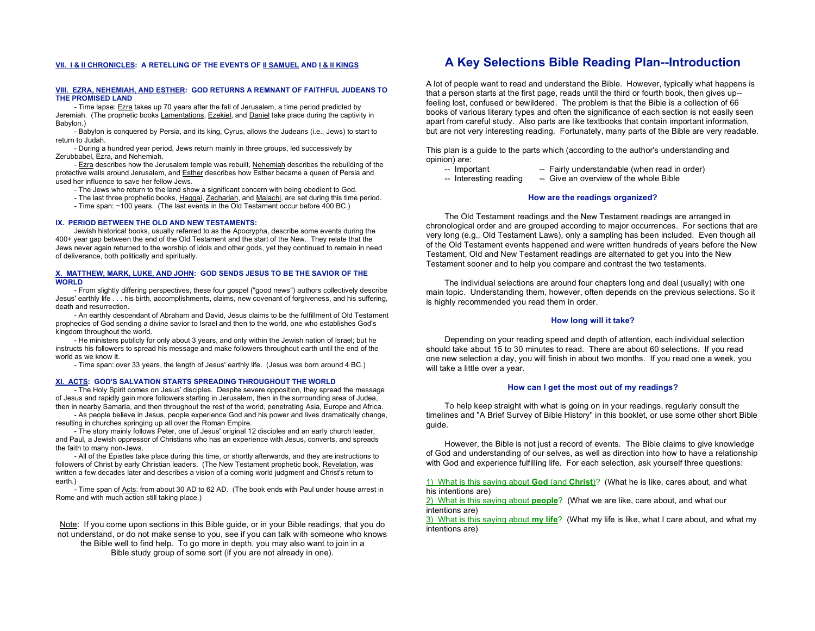### **VII. I & II CHRONICLES: A RETELLING OF THE EVENTS OF II SAMUEL AND I & II KINGS**

#### **VIII. EZRA, NEHEMIAH, AND ESTHER: GOD RETURNS A REMNANT OF FAITHFUL JUDEANS TO THE PROMISED LAND**

- Time lapse: Ezra takes up 70 years after the fall of Jerusalem, a time period predicted by Jeremiah. (The prophetic books Lamentations, Ezekiel, and Daniel take place during the captivity in Babylon.)

- Babylon is conquered by Persia, and its king, Cyrus, allows the Judeans (i.e., Jews) to start to return to Judah.

- During a hundred year period, Jews return mainly in three groups, led successively by Zerubbabel, Ezra, and Nehemiah.

- Ezra describes how the Jerusalem temple was rebuilt, Nehemiah describes the rebuilding of the protective walls around Jerusalem, and Esther describes how Esther became a queen of Persia and used her influence to save her fellow Jews.

- The Jews who return to the land show a significant concern with being obedient to God.

- The last three prophetic books, Haggai, Zechariah, and Malachi, are set during this time period.
- Time span: ~100 years. (The last events in the Old Testament occur before 400 BC.)

#### **IX. PERIOD BETWEEN THE OLD AND NEW TESTAMENTS:**

Jewish historical books, usually referred to as the Apocrypha, describe some events during the 400+ year gap between the end of the Old Testament and the start of the New. They relate that the Jews never again returned to the worship of idols and other gods, yet they continued to remain in need of deliverance, both politically and spiritually.

### **X. MATTHEW, MARK, LUKE, AND JOHN: GOD SENDS JESUS TO BE THE SAVIOR OF THE WORLD**

- From slightly differing perspectives, these four gospel ("good news") authors collectively describe Jesus' earthly life . . . his birth, accomplishments, claims, new covenant of forgiveness, and his suffering, death and resurrection.

- An earthly descendant of Abraham and David, Jesus claims to be the fulfillment of Old Testament prophecies of God sending a divine savior to Israel and then to the world, one who establishes God's kingdom throughout the world.

- He ministers publicly for only about 3 years, and only within the Jewish nation of Israel; but he instructs his followers to spread his message and make followers throughout earth until the end of the world as we know it.

- Time span: over 33 years, the length of Jesus' earthly life. (Jesus was born around 4 BC.)

### **XI. ACTS: GOD'S SALVATION STARTS SPREADING THROUGHOUT THE WORLD**

- The Holy Spirit comes on Jesus' disciples. Despite severe opposition, they spread the message of Jesus and rapidly gain more followers starting in Jerusalem, then in the surrounding area of Judea, then in nearby Samaria, and then throughout the rest of the world, penetrating Asia, Europe and Africa.

- As people believe in Jesus, people experience God and his power and lives dramatically change, resulting in churches springing up all over the Roman Empire.

- The story mainly follows Peter, one of Jesus' original 12 disciples and an early church leader, and Paul, a Jewish oppressor of Christians who has an experience with Jesus, converts, and spreads the faith to many non-Jews.

- All of the Epistles take place during this time, or shortly afterwards, and they are instructions to followers of Christ by early Christian leaders. (The New Testament prophetic book, Revelation, was written a few decades later and describes a vision of a coming world judgment and Christ's return to earth.)

- Time span of Acts: from about 30 AD to 62 AD. (The book ends with Paul under house arrest in Rome and with much action still taking place.)

Note: If you come upon sections in this Bible guide, or in your Bible readings, that you do not understand, or do not make sense to you, see if you can talk with someone who knows the Bible well to find help. To go more in depth, you may also want to join in a Bible study group of some sort (if you are not already in one).

# **A Key Selections Bible Reading Plan--Introduction**

A lot of people want to read and understand the Bible. However, typically what happens is that a person starts at the first page, reads until the third or fourth book, then gives up- feeling lost, confused or bewildered. The problem is that the Bible is a collection of 66 books of various literary types and often the significance of each section is not easily seen apart from careful study. Also parts are like textbooks that contain important information, but are not very interesting reading. Fortunately, many parts of the Bible are very readable.

This plan is a guide to the parts which (according to the author's understanding and opinion) are:

- -- Important -- Fairly understandable (when read in order)
- -- Interesting reading -- Give an overview of the whole Bible

### **How are the readings organized?**

The Old Testament readings and the New Testament readings are arranged in chronological order and are grouped according to major occurrences. For sections that are very long (e.g., Old Testament Laws), only a sampling has been included. Even though all of the Old Testament events happened and were written hundreds of years before the New Testament, Old and New Testament readings are alternated to get you into the New Testament sooner and to help you compare and contrast the two testaments.

The individual selections are around four chapters long and deal (usually) with one main topic. Understanding them, however, often depends on the previous selections. So it is highly recommended you read them in order.

### **How long will it take?**

Depending on your reading speed and depth of attention, each individual selection should take about 15 to 30 minutes to read. There are about 60 selections. If you read one new selection a day, you will finish in about two months. If you read one a week, you will take a little over a year.

### **How can I get the most out of my readings?**

To help keep straight with what is going on in your readings, regularly consult the timelines and "A Brief Survey of Bible History" in this booklet, or use some other short Bible guide.

However, the Bible is not just a record of events. The Bible claims to give knowledge of God and understanding of our selves, as well as direction into how to have a relationship with God and experience fulfilling life. For each selection, ask yourself three questions:

1) What is this saying about **God** (and **Christ**)? (What he is like, cares about, and what his intentions are)

2) What is this saying about **people**? (What we are like, care about, and what our intentions are)

3) What is this saying about **my life**? (What my life is like, what I care about, and what my intentions are)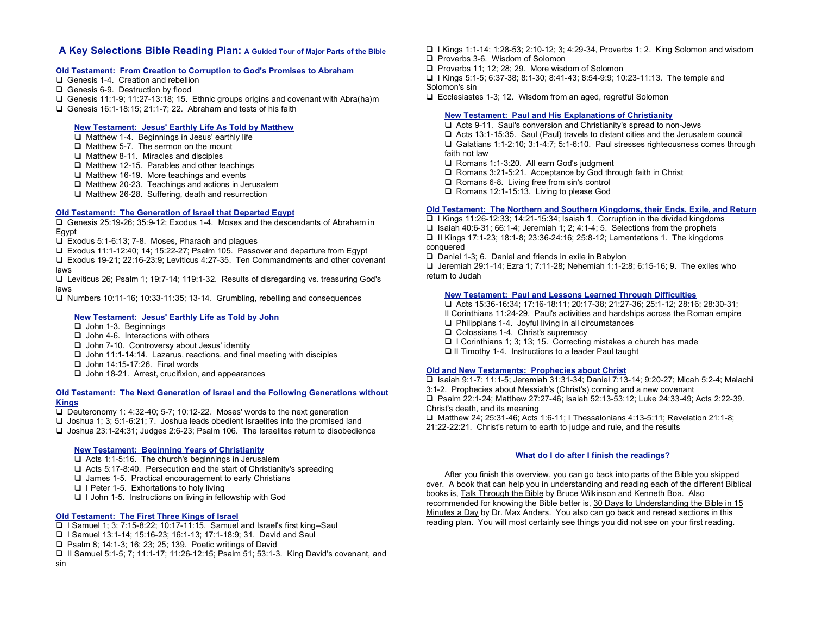# **A Key Selections Bible Reading Plan: A Guided Tour of Major Parts of the Bible**

### **Old Testament: From Creation to Corruption to God's Promises to Abraham**

- Genesis 1-4. Creation and rebellion
- Genesis 6-9. Destruction by flood
- Genesis 11:1-9; 11:27-13:18; 15. Ethnic groups origins and covenant with Abra(ha)m
- Genesis 16:1-18:15; 21:1-7; 22. Abraham and tests of his faith

# **New Testament: Jesus' Earthly Life As Told by Matthew**

- $\Box$  Matthew 1-4. Beginnings in Jesus' earthly life
- $\Box$  Matthew 5-7. The sermon on the mount
- $\Box$  Matthew 8-11. Miracles and disciples
- $\Box$  Matthew 12-15. Parables and other teachings
- $\Box$  Matthew 16-19. More teachings and events
- $\Box$  Matthew 20-23. Teachings and actions in Jerusalem
- $\Box$  Matthew 26-28. Suffering, death and resurrection

# **Old Testament: The Generation of Israel that Departed Egypt**

 Genesis 25:19-26; 35:9-12; Exodus 1-4. Moses and the descendants of Abraham in Egypt

Exodus 5:1-6:13; 7-8. Moses, Pharaoh and plagues

Exodus 11:1-12:40; 14; 15:22-27; Psalm 105. Passover and departure from Egypt

 Exodus 19-21; 22:16-23:9; Leviticus 4:27-35. Ten Commandments and other covenant laws

 Leviticus 26; Psalm 1; 19:7-14; 119:1-32. Results of disregarding vs. treasuring God's laws

Numbers 10:11-16; 10:33-11:35; 13-14. Grumbling, rebelling and consequences

# **New Testament: Jesus' Earthly Life as Told by John**

- John 1-3. Beginnings
- $\Box$  John 4-6. Interactions with others
- $\Box$  John 7-10. Controversy about Jesus' identity
- $\Box$  John 11:1-14:14. Lazarus, reactions, and final meeting with disciples
- $\Box$  John 14:15-17:26. Final words
- John 18-21. Arrest, crucifixion, and appearances

### **Old Testament: The Next Generation of Israel and the Following Generations without Kings**

Deuteronomy 1: 4:32-40: 5-7: 10:12-22. Moses' words to the next generation  $\Box$  Joshua 1; 3; 5:1-6:21; 7. Joshua leads obedient Israelites into the promised land Joshua 23:1-24:31; Judges 2:6-23; Psalm 106. The Israelites return to disobedience

# **New Testament: Beginning Years of Christianity**

 $\Box$  Acts 1:1-5:16. The church's beginnings in Jerusalem

- $\Box$  Acts 5:17-8:40. Persecution and the start of Christianity's spreading
- $\Box$  James 1-5. Practical encouragement to early Christians
- $\Box$  I Peter 1-5. Exhortations to holy living

 $\Box$  I John 1-5. Instructions on living in fellowship with God

# **Old Testament: The First Three Kings of Israel**

- $\Box$  I Samuel 1: 3: 7:15-8:22: 10:17-11:15. Samuel and Israel's first king--Saul
- I Samuel 13:1-14; 15:16-23; 16:1-13; 17:1-18:9; 31. David and Saul
- □ Psalm 8; 14:1-3; 16; 23; 25; 139. Poetic writings of David
- II Samuel 5:1-5; 7; 11:1-17; 11:26-12:15; Psalm 51; 53:1-3. King David's covenant, and sin
- I Kings 1:1-14; 1:28-53; 2:10-12; 3; 4:29-34, Proverbs 1; 2. King Solomon and wisdom
- **Proverbs 3-6. Wisdom of Solomon**
- $\Box$  Proverbs 11; 12; 28; 29. More wisdom of Solomon
- I Kings 5:1-5; 6:37-38; 8:1-30; 8:41-43; 8:54-9:9; 10:23-11:13. The temple and Solomon's sin
- Ecclesiastes 1-3; 12. Wisdom from an aged, regretful Solomon

# **New Testament: Paul and His Explanations of Christianity**

 Acts 9-11. Saul's conversion and Christianity's spread to non-Jews  $\Box$  Acts 13:1-15:35. Saul (Paul) travels to distant cities and the Jerusalem council Galatians 1:1-2:10; 3:1-4:7; 5:1-6:10. Paul stresses righteousness comes through faith not law

- □ Romans 1:1-3:20. All earn God's judgment
- □ Romans 3:21-5:21. Acceptance by God through faith in Christ
- □ Romans 6-8. Living free from sin's control
- □ Romans 12:1-15:13. Living to please God

# **Old Testament: The Northern and Southern Kingdoms, their Ends, Exile, and Return**

 $\Box$  I Kings 11:26-12:33: 14:21-15:34: Isaiah 1. Corruption in the divided kingdoms  $\Box$  Isaiah 40:6-31; 66:1-4; Jeremiah 1: 2: 4:1-4: 5. Selections from the prophets II Kings 17:1-23; 18:1-8; 23:36-24:16; 25:8-12; Lamentations 1. The kingdoms conquered

D Daniel 1-3; 6. Daniel and friends in exile in Babylon

 $\Box$  Jeremiah 29:1-14; Ezra 1; 7:11-28; Nehemiah 1:1-2:8; 6:15-16; 9. The exiles who return to Judah

# **New Testament: Paul and Lessons Learned Through Difficulties**

 Acts 15:36-16:34; 17:16-18:11; 20:17-38; 21:27-36; 25:1-12; 28:16; 28:30-31; II Corinthians 11:24-29. Paul's activities and hardships across the Roman empire  $\Box$  Philippians 1-4. Jovful living in all circumstances □ Colossians 1-4. Christ's supremacy

- $\Box$  I Corinthians 1; 3; 13; 15. Correcting mistakes a church has made
- $\Box$  II Timothy 1-4. Instructions to a leader Paul taught

# **Old and New Testaments: Prophecies about Christ**

 Isaiah 9:1-7; 11:1-5; Jeremiah 31:31-34; Daniel 7:13-14; 9:20-27; Micah 5:2-4; Malachi 3:1-2. Prophecies about Messiah's (Christ's) coming and a new covenant Psalm 22:1-24; Matthew 27:27-46; Isaiah 52:13-53:12; Luke 24:33-49; Acts 2:22-39. Christ's death, and its meaning □ Matthew 24; 25:31-46; Acts 1:6-11; I Thessalonians 4:13-5:11; Revelation 21:1-8; 21:22-22:21. Christ's return to earth to judge and rule, and the results

# **What do I do after I finish the readings?**

After you finish this overview, you can go back into parts of the Bible you skipped over. A book that can help you in understanding and reading each of the different Biblical books is, Talk Through the Bible by Bruce Wilkinson and Kenneth Boa. Also recommended for knowing the Bible better is, 30 Days to Understanding the Bible in 15 Minutes a Day by Dr. Max Anders. You also can go back and reread sections in this reading plan. You will most certainly see things you did not see on your first reading.